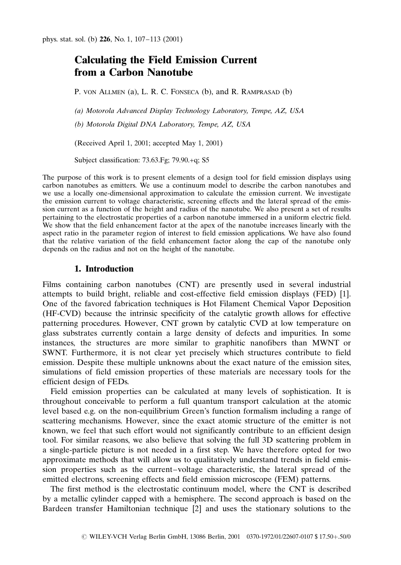# Calculating the Field Emission Current from a Carbon Nanotube

P. VON ALLMEN (a), L. R. C. FONSECA (b), and R. RAMPRASAD (b)

(a) Motorola Advanced Display Technology Laboratory, Tempe, AZ, USA

(b) Motorola Digital DNA Laboratory, Tempe, AZ, USA

(Received April 1, 2001; accepted May 1, 2001)

Subject classification: 73.63.Fg; 79.90.+q; S5

The purpose of this work is to present elements of a design tool for field emission displays using carbon nanotubes as emitters. We use a continuum model to describe the carbon nanotubes and we use a locally one-dimensional approximation to calculate the emission current. We investigate the emission current to voltage characteristic, screening effects and the lateral spread of the emission current as a function of the height and radius of the nanotube. We also present a set of results pertaining to the electrostatic properties of a carbon nanotube immersed in a uniform electric field. We show that the field enhancement factor at the apex of the nanotube increases linearly with the aspect ratio in the parameter region of interest to field emission applications. We have also found that the relative variation of the field enhancement factor along the cap of the nanotube only depends on the radius and not on the height of the nanotube.

### 1. Introduction

Films containing carbon nanotubes (CNT) are presently used in several industrial attempts to build bright, reliable and cost-effective field emission displays (FED) [1]. One of the favored fabrication techniques is Hot Filament Chemical Vapor Deposition (HF-CVD) because the intrinsic specificity of the catalytic growth allows for effective patterning procedures. However, CNT grown by catalytic CVD at low temperature on glass substrates currently contain a large density of defects and impurities. In some instances, the structures are more similar to graphitic nanofibers than MWNT or SWNT. Furthermore, it is not clear yet precisely which structures contribute to field emission. Despite these multiple unknowns about the exact nature of the emission sites, simulations of field emission properties of these materials are necessary tools for the efficient design of FEDs.

Field emission properties can be calculated at many levels of sophistication. It is throughout conceivable to perform a full quantum transport calculation at the atomic level based e.g. on the non-equilibrium Green's function formalism including a range of scattering mechanisms. However, since the exact atomic structure of the emitter is not known, we feel that such effort would not significantly contribute to an efficient design tool. For similar reasons, we also believe that solving the full 3D scattering problem in a single-particle picture is not needed in a first step. We have therefore opted for two approximate methods that will allow us to qualitatively understand trends in field emission properties such as the current–voltage characteristic, the lateral spread of the emitted electrons, screening effects and field emission microscope (FEM) patterns.

The first method is the electrostatic continuum model, where the CNT is described by a metallic cylinder capped with a hemisphere. The second approach is based on the Bardeen transfer Hamiltonian technique [2] and uses the stationary solutions to the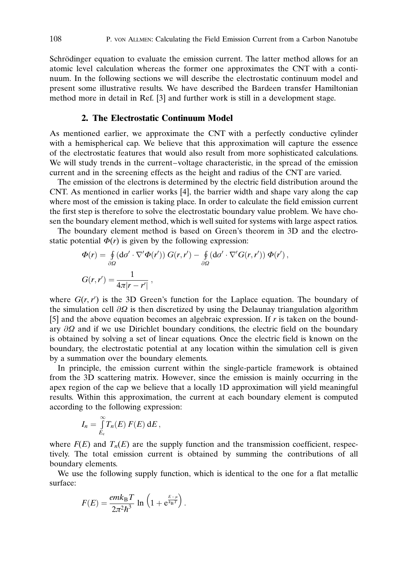Schrödinger equation to evaluate the emission current. The latter method allows for an atomic level calculation whereas the former one approximates the CNT with a continuum. In the following sections we will describe the electrostatic continuum model and present some illustrative results. We have described the Bardeen transfer Hamiltonian method more in detail in Ref. [3] and further work is still in a development stage.

## 2. The Electrostatic Continuum Model

As mentioned earlier, we approximate the CNT with a perfectly conductive cylinder with a hemispherical cap. We believe that this approximation will capture the essence of the electrostatic features that would also result from more sophisticated calculations. We will study trends in the current–voltage characteristic, in the spread of the emission current and in the screening effects as the height and radius of the CNT are varied.

The emission of the electrons is determined by the electric field distribution around the CNT. As mentioned in earlier works [4], the barrier width and shape vary along the cap where most of the emission is taking place. In order to calculate the field emission current the first step is therefore to solve the electrostatic boundary value problem. We have chosen the boundary element method, which is well suited for systems with large aspect ratios.

The boundary element method is based on Green's theorem in 3D and the electrostatic potential  $\Phi(r)$  is given by the following expression:

$$
\Phi(r) = \oint_{\partial\Omega} (\mathrm{d}\sigma' \cdot \nabla' \Phi(r')) G(r, r') - \oint_{\partial\Omega} (\mathrm{d}\sigma' \cdot \nabla' G(r, r')) \Phi(r'),
$$
  

$$
G(r, r') = \frac{1}{4\pi |r - r'|},
$$

where  $G(r, r')$  is the 3D Green's function for the Laplace equation. The boundary of the simulation cell  $\partial\Omega$  is then discretized by using the Delaunay triangulation algorithm [5] and the above equation becomes an algebraic expression. If  $r$  is taken on the boundary  $\partial\Omega$  and if we use Dirichlet boundary conditions, the electric field on the boundary is obtained by solving a set of linear equations. Once the electric field is known on the boundary, the electrostatic potential at any location within the simulation cell is given by a summation over the boundary elements.

In principle, the emission current within the single-particle framework is obtained from the 3D scattering matrix. However, since the emission is mainly occurring in the apex region of the cap we believe that a locally 1D approximation will yield meaningful results. Within this approximation, the current at each boundary element is computed according to the following expression:

$$
I_n = \int_{E_c}^{\infty} T_n(E) F(E) dE,
$$

where  $F(E)$  and  $T_n(E)$  are the supply function and the transmission coefficient, respectively. The total emission current is obtained by summing the contributions of all boundary elements.

We use the following supply function, which is identical to the one for a flat metallic surface:

$$
F(E) = \frac{emk_{\rm B}T}{2\pi^2\hbar^3} \ln\left(1 + e^{\frac{E-\mu}{k_{\rm B}T}}\right).
$$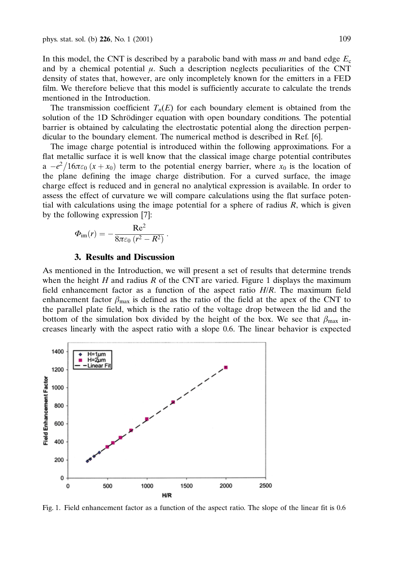In this model, the CNT is described by a parabolic band with mass m and band edge  $E_c$ and by a chemical potential  $\mu$ . Such a description neglects peculiarities of the CNT density of states that, however, are only incompletely known for the emitters in a FED film. We therefore believe that this model is sufficiently accurate to calculate the trends mentioned in the Introduction.

The transmission coefficient  $T_n(E)$  for each boundary element is obtained from the solution of the 1D Schrödinger equation with open boundary conditions. The potential barrier is obtained by calculating the electrostatic potential along the direction perpendicular to the boundary element. The numerical method is described in Ref. [6].

The image charge potential is introduced within the following approximations. For a flat metallic surface it is well know that the classical image charge potential contributes a  $-e^2/16\pi\varepsilon_0(x+x_0)$  term to the potential energy barrier, where  $x_0$  is the location of the plane defining the image charge distribution. For a curved surface, the image charge effect is reduced and in general no analytical expression is available. In order to assess the effect of curvature we will compare calculations using the flat surface potential with calculations using the image potential for a sphere of radius  $R$ , which is given by the following expression [7]:

$$
\varPhi_{\rm im}(r)=-\frac{\text{Re}^2}{8\pi\varepsilon_0\left(r^2-R^2\right)}\,.
$$

### 3. Results and Discussion

As mentioned in the Introduction, we will present a set of results that determine trends when the height H and radius R of the CNT are varied. Figure 1 displays the maximum field enhancement factor as a function of the aspect ratio H/R. The maximum field enhancement factor  $\beta_{\text{max}}$  is defined as the ratio of the field at the apex of the CNT to the parallel plate field, which is the ratio of the voltage drop between the lid and the bottom of the simulation box divided by the height of the box. We see that  $\beta_{\text{max}}$  increases linearly with the aspect ratio with a slope 0.6. The linear behavior is expected



Fig. 1. Field enhancement factor as a function of the aspect ratio. The slope of the linear fit is 0.6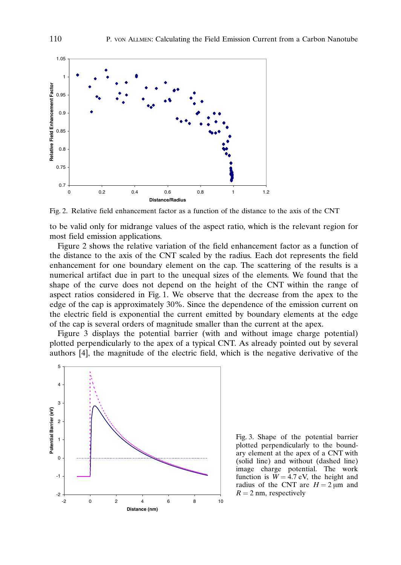

Fig. 2. Relative field enhancement factor as a function of the distance to the axis of the CNT

to be valid only for midrange values of the aspect ratio, which is the relevant region for most field emission applications.

Figure 2 shows the relative variation of the field enhancement factor as a function of the distance to the axis of the CNT scaled by the radius. Each dot represents the field enhancement for one boundary element on the cap. The scattering of the results is a numerical artifact due in part to the unequal sizes of the elements. We found that the shape of the curve does not depend on the height of the CNT within the range of aspect ratios considered in Fig. 1. We observe that the decrease from the apex to the edge of the cap is approximately 30%. Since the dependence of the emission current on the electric field is exponential the current emitted by boundary elements at the edge of the cap is several orders of magnitude smaller than the current at the apex.

Figure 3displays the potential barrier (with and without image charge potential) plotted perpendicularly to the apex of a typical CNT. As already pointed out by several authors [4], the magnitude of the electric field, which is the negative derivative of the



Fig. 3. Shape of the potential barrier plotted perpendicularly to the boundary element at the apex of a CNT with (solid line) and without (dashed line) image charge potential. The work function is  $W = 4.7$  eV, the height and radius of the CNT are  $H = 2 \mu m$  and  $R = 2$  nm, respectively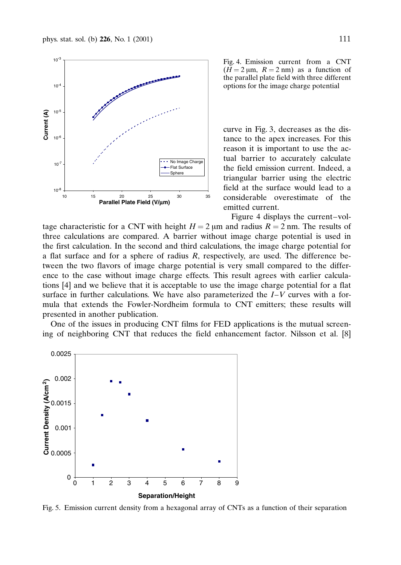

Fig. 4. Emission current from a CNT  $(H = 2 \mu m, R = 2 \mu m)$  as a function of the parallel plate field with three different options for the image charge potential

curve in Fig. 3, decreases as the distance to the apex increases. For this reason it is important to use the actual barrier to accurately calculate the field emission current. Indeed, a triangular barrier using the electric field at the surface would lead to a considerable overestimate of the emitted current.

Figure 4 displays the current–voltage characteristic for a CNT with height  $H = 2 \mu m$  and radius  $R = 2 \mu m$ . The results of three calculations are compared. A barrier without image charge potential is used in the first calculation. In the second and third calculations, the image charge potential for a flat surface and for a sphere of radius  $R$ , respectively, are used. The difference between the two flavors of image charge potential is very small compared to the difference to the case without image charge effects. This result agrees with earlier calculations [4] and we believe that it is acceptable to use the image charge potential for a flat surface in further calculations. We have also parameterized the  $I-V$  curves with a formula that extends the Fowler-Nordheim formula to CNT emitters; these results will presented in another publication.

One of the issues in producing CNT films for FED applications is the mutual screening of neighboring CNT that reduces the field enhancement factor. Nilsson et al. [8]



Fig. 5. Emission current density from a hexagonal array of CNTs as a function of their separation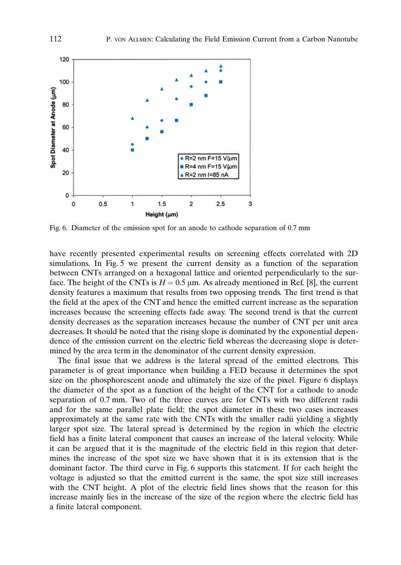

Fig. 6. Diameter of the emission spot for an anode to cathode separation of 0.7 mm

have recently presented experimental results on screening effects correlated with 2D simulations. In Fig. 5 we present the current density as a function of the separation between CNTs arranged on a hexagonal lattice and oriented perpendicularly to the surface. The height of the CNTs is  $H = 0.5 \mu m$ . As already mentioned in Ref. [8], the current density features a maximum that results from two opposing trends. The first trend is that the field at the apex of the CNT and hence the emitted current increase as the separation increases because the screening effects fade away. The second trend is that the current density decreases as the separation increases because the number of CNT per unit area decreases. It should be noted that the rising slope is dominated by the exponential dependence of the emission current on the electric field whereas the decreasing slope is determined by the area term in the denominator of the current density expression.

The final issue that we address is the lateral spread of the emitted electrons. This parameter is of great importance when building a FED because it determines the spot size on the phosphorescent anode and ultimately the size of the pixel. Figure 6 displays the diameter of the spot as a function of the height of the CNT for a cathode to anode separation of 0.7 mm. Two of the three curves are for CNTs with two different radii and for the same parallel plate field; the spot diameter in these two cases increases approximately at the same rate with the CNTs with the smaller radii yielding a slightly larger spot size. The lateral spread is determined by the region in which the electric field has a finite lateral component that causes an increase of the lateral velocity. While it can be argued that it is the magnitude of the electric field in this region that determines the increase of the spot size we have shown that it is its extension that is the dominant factor. The third curve in Fig. 6 supports this statement. If for each height the voltage is adjusted so that the emitted current is the same, the spot size still increases with the CNT height. A plot of the electric field lines shows that the reason for this increase mainly lies in the increase of the size of the region where the electric field has a finite lateral component.